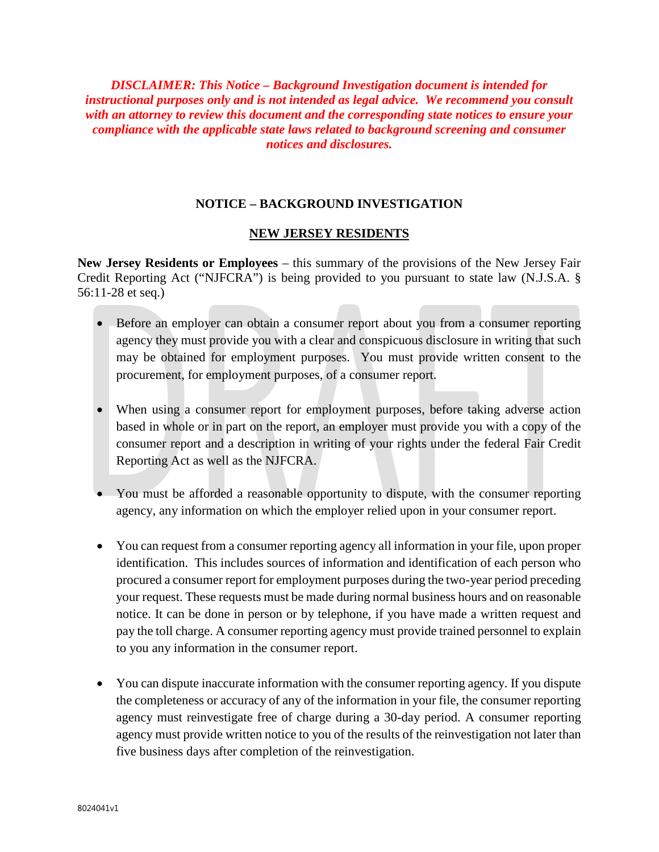*DISCLAIMER: This Notice – Background Investigation document is intended for instructional purposes only and is not intended as legal advice. We recommend you consult with an attorney to review this document and the corresponding state notices to ensure your compliance with the applicable state laws related to background screening and consumer notices and disclosures.*

## **NOTICE – BACKGROUND INVESTIGATION**

## **NEW JERSEY RESIDENTS**

**New Jersey Residents or Employees** – this summary of the provisions of the New Jersey Fair Credit Reporting Act ("NJFCRA") is being provided to you pursuant to state law (N.J.S.A. § 56:11-28 et seq.)

- Before an employer can obtain a consumer report about you from a consumer reporting agency they must provide you with a clear and conspicuous disclosure in writing that such may be obtained for employment purposes. You must provide written consent to the procurement, for employment purposes, of a consumer report.
- When using a consumer report for employment purposes, before taking adverse action based in whole or in part on the report, an employer must provide you with a copy of the consumer report and a description in writing of your rights under the federal Fair Credit Reporting Act as well as the NJFCRA.
- You must be afforded a reasonable opportunity to dispute, with the consumer reporting agency, any information on which the employer relied upon in your consumer report.
- You can request from a consumer reporting agency all information in your file, upon proper identification. This includes sources of information and identification of each person who procured a consumer report for employment purposes during the two-year period preceding your request. These requests must be made during normal business hours and on reasonable notice. It can be done in person or by telephone, if you have made a written request and pay the toll charge. A consumer reporting agency must provide trained personnel to explain to you any information in the consumer report.
- You can dispute inaccurate information with the consumer reporting agency. If you dispute the completeness or accuracy of any of the information in your file, the consumer reporting agency must reinvestigate free of charge during a 30-day period. A consumer reporting agency must provide written notice to you of the results of the reinvestigation not later than five business days after completion of the reinvestigation.